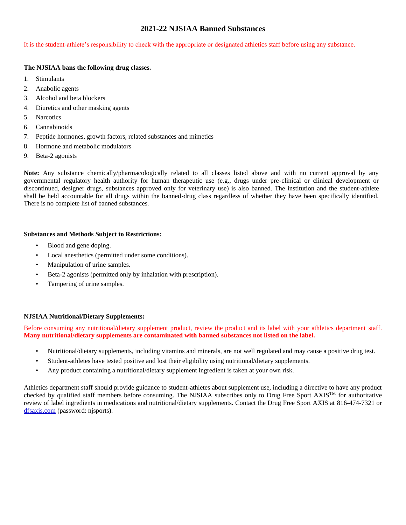# **2021-22 NJSIAA Banned Substances**

It is the student-athlete's responsibility to check with the appropriate or designated athletics staff before using any substance.

#### **The NJSIAA bans the following drug classes.**

- 1. Stimulants
- 2. Anabolic agents
- 3. Alcohol and beta blockers
- 4. Diuretics and other masking agents
- 5. Narcotics
- 6. Cannabinoids
- 7. Peptide hormones, growth factors, related substances and mimetics
- 8. Hormone and metabolic modulators
- 9. Beta-2 agonists

**Note:** Any substance chemically/pharmacologically related to all classes listed above and with no current approval by any governmental regulatory health authority for human therapeutic use (e.g., drugs under pre-clinical or clinical development or discontinued, designer drugs, substances approved only for veterinary use) is also banned. The institution and the student-athlete shall be held accountable for all drugs within the banned-drug class regardless of whether they have been specifically identified. There is no complete list of banned substances.

## **Substances and Methods Subject to Restrictions:**

- Blood and gene doping.
- Local anesthetics (permitted under some conditions).
- Manipulation of urine samples.
- Beta-2 agonists (permitted only by inhalation with prescription).
- Tampering of urine samples.

## **NJSIAA Nutritional/Dietary Supplements:**

Before consuming any nutritional/dietary supplement product, review the product and its label with your athletics department staff. **Many nutritional/dietary supplements are contaminated with banned substances not listed on the label.**

- Nutritional/dietary supplements, including vitamins and minerals, are not well regulated and may cause a positive drug test.
- Student-athletes have tested positive and lost their eligibility using nutritional/dietary supplements.
- Any product containing a nutritional/dietary supplement ingredient is taken at your own risk.

Athletics department staff should provide guidance to student-athletes about supplement use, including a directive to have any product checked by qualified staff members before consuming. The NJSIAA subscribes only to Drug Free Sport  $AXIS^{TM}$  for authoritative review of label ingredients in medications and nutritional/dietary supplements. Contact the Drug Free Sport AXIS at 816-474-7321 or [dfsaxis.com](http://www.dfsaxis.com/) (password: njsports).